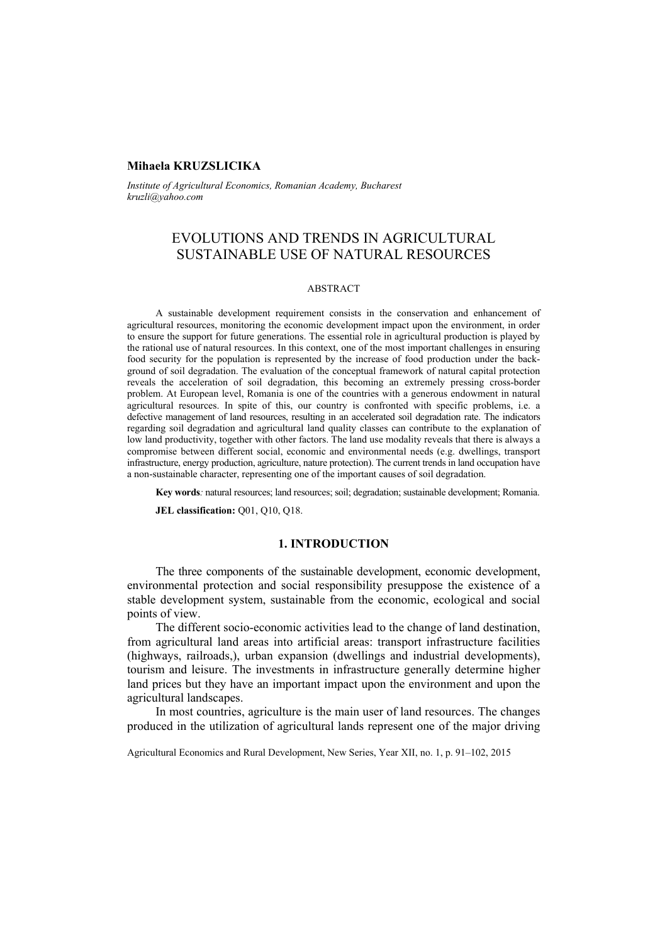### **Mihaela KRUZSLICIKA**

*Institute of Agricultural Economics, Romanian Academy, Bucharest kruzli@yahoo.com* 

# EVOLUTIONS AND TRENDS IN AGRICULTURAL SUSTAINABLE USE OF NATURAL RESOURCES

#### ABSTRACT

A sustainable development requirement consists in the conservation and enhancement of agricultural resources, monitoring the economic development impact upon the environment, in order to ensure the support for future generations. The essential role in agricultural production is played by the rational use of natural resources. In this context, one of the most important challenges in ensuring food security for the population is represented by the increase of food production under the background of soil degradation. The evaluation of the conceptual framework of natural capital protection reveals the acceleration of soil degradation, this becoming an extremely pressing cross-border problem. At European level, Romania is one of the countries with a generous endowment in natural agricultural resources. In spite of this, our country is confronted with specific problems, i.e. a defective management of land resources, resulting in an accelerated soil degradation rate. The indicators regarding soil degradation and agricultural land quality classes can contribute to the explanation of low land productivity, together with other factors. The land use modality reveals that there is always a compromise between different social, economic and environmental needs (e.g. dwellings, transport infrastructure, energy production, agriculture, nature protection). The current trends in land occupation have a non-sustainable character, representing one of the important causes of soil degradation.

**Key words***:* natural resources; land resources; soil; degradation; sustainable development; Romania.

**JEL classification: O01, O10, O18.** 

# **1. INTRODUCTION**

The three components of the sustainable development, economic development, environmental protection and social responsibility presuppose the existence of a stable development system, sustainable from the economic, ecological and social points of view.

The different socio-economic activities lead to the change of land destination, from agricultural land areas into artificial areas: transport infrastructure facilities (highways, railroads,), urban expansion (dwellings and industrial developments), tourism and leisure. The investments in infrastructure generally determine higher land prices but they have an important impact upon the environment and upon the agricultural landscapes.

In most countries, agriculture is the main user of land resources. The changes produced in the utilization of agricultural lands represent one of the major driving

Agricultural Economics and Rural Development, New Series, Year XII, no. 1, p. 91–102, 2015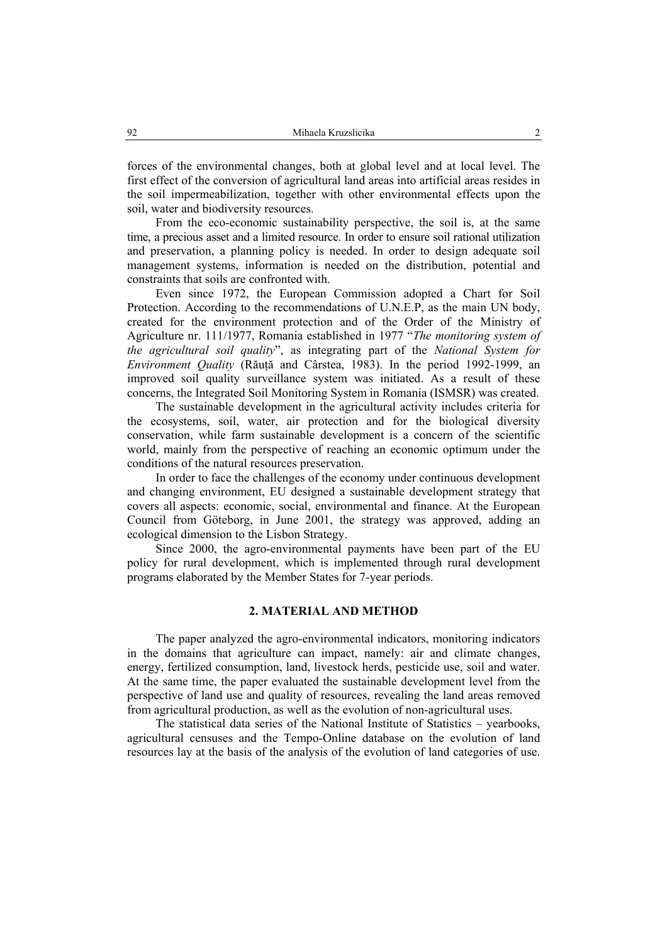forces of the environmental changes, both at global level and at local level. The first effect of the conversion of agricultural land areas into artificial areas resides in the soil impermeabilization, together with other environmental effects upon the soil, water and biodiversity resources.

From the eco-economic sustainability perspective, the soil is, at the same time, a precious asset and a limited resource. In order to ensure soil rational utilization and preservation, a planning policy is needed. In order to design adequate soil management systems, information is needed on the distribution, potential and constraints that soils are confronted with.

Even since 1972, the European Commission adopted a Chart for Soil Protection. According to the recommendations of U.N.E.P, as the main UN body, created for the environment protection and of the Order of the Ministry of Agriculture nr. 111/1977, Romania established in 1977 "*The monitoring system of the agricultural soil quality*", as integrating part of the *National System for Environment Quality* (Răuţă and Cârstea, 1983). In the period 1992-1999, an improved soil quality surveillance system was initiated. As a result of these concerns, the Integrated Soil Monitoring System in Romania (ISMSR) was created.

The sustainable development in the agricultural activity includes criteria for the ecosystems, soil, water, air protection and for the biological diversity conservation, while farm sustainable development is a concern of the scientific world, mainly from the perspective of reaching an economic optimum under the conditions of the natural resources preservation.

In order to face the challenges of the economy under continuous development and changing environment, EU designed a sustainable development strategy that covers all aspects: economic, social, environmental and finance. At the European Council from Göteborg, in June 2001, the strategy was approved, adding an ecological dimension to the Lisbon Strategy.

Since 2000, the agro-environmental payments have been part of the EU policy for rural development, which is implemented through rural development programs elaborated by the Member States for 7-year periods.

# **2. MATERIAL AND METHOD**

The paper analyzed the agro-environmental indicators, monitoring indicators in the domains that agriculture can impact, namely: air and climate changes, energy, fertilized consumption, land, livestock herds, pesticide use, soil and water. At the same time, the paper evaluated the sustainable development level from the perspective of land use and quality of resources, revealing the land areas removed from agricultural production, as well as the evolution of non-agricultural uses.

The statistical data series of the National Institute of Statistics – yearbooks, agricultural censuses and the Tempo-Online database on the evolution of land resources lay at the basis of the analysis of the evolution of land categories of use.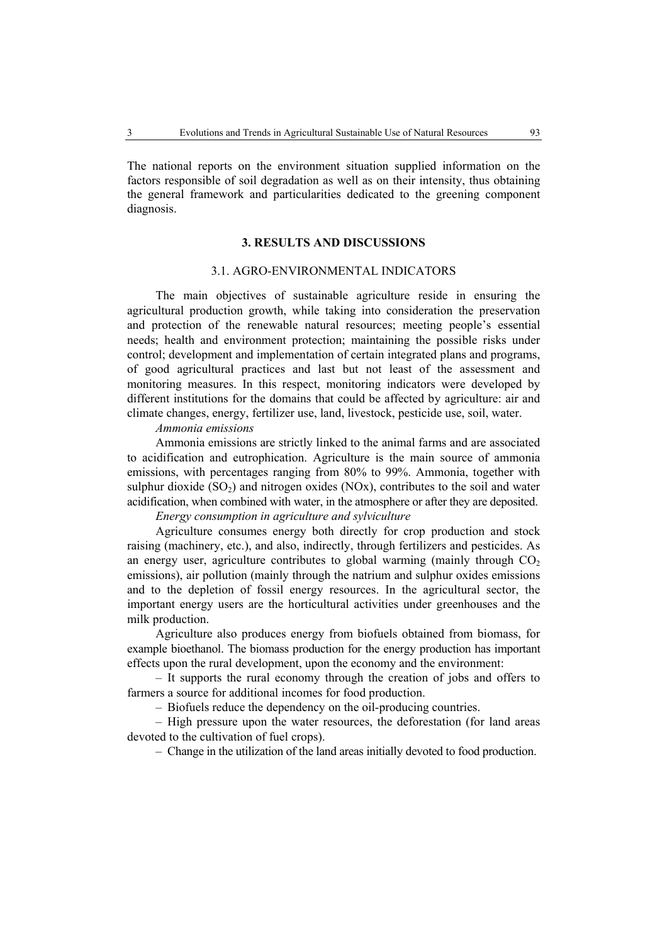The national reports on the environment situation supplied information on the factors responsible of soil degradation as well as on their intensity, thus obtaining the general framework and particularities dedicated to the greening component diagnosis.

# **3. RESULTS AND DISCUSSIONS**

#### 3.1. AGRO-ENVIRONMENTAL INDICATORS

The main objectives of sustainable agriculture reside in ensuring the agricultural production growth, while taking into consideration the preservation and protection of the renewable natural resources; meeting people's essential needs; health and environment protection; maintaining the possible risks under control; development and implementation of certain integrated plans and programs, of good agricultural practices and last but not least of the assessment and monitoring measures. In this respect, monitoring indicators were developed by different institutions for the domains that could be affected by agriculture: air and climate changes, energy, fertilizer use, land, livestock, pesticide use, soil, water.

#### *Ammonia emissions*

Ammonia emissions are strictly linked to the animal farms and are associated to acidification and eutrophication. Agriculture is the main source of ammonia emissions, with percentages ranging from 80% to 99%. Ammonia, together with sulphur dioxide  $(SO<sub>2</sub>)$  and nitrogen oxides  $(NOx)$ , contributes to the soil and water acidification, when combined with water, in the atmosphere or after they are deposited.

### *Energy consumption in agriculture and sylviculture*

Agriculture consumes energy both directly for crop production and stock raising (machinery, etc.), and also, indirectly, through fertilizers and pesticides. As an energy user, agriculture contributes to global warming (mainly through  $CO<sub>2</sub>$ ) emissions), air pollution (mainly through the natrium and sulphur oxides emissions and to the depletion of fossil energy resources. In the agricultural sector, the important energy users are the horticultural activities under greenhouses and the milk production.

Agriculture also produces energy from biofuels obtained from biomass, for example bioethanol. The biomass production for the energy production has important effects upon the rural development, upon the economy and the environment:

– It supports the rural economy through the creation of jobs and offers to farmers a source for additional incomes for food production.

– Biofuels reduce the dependency on the oil-producing countries.

– High pressure upon the water resources, the deforestation (for land areas devoted to the cultivation of fuel crops).

– Change in the utilization of the land areas initially devoted to food production.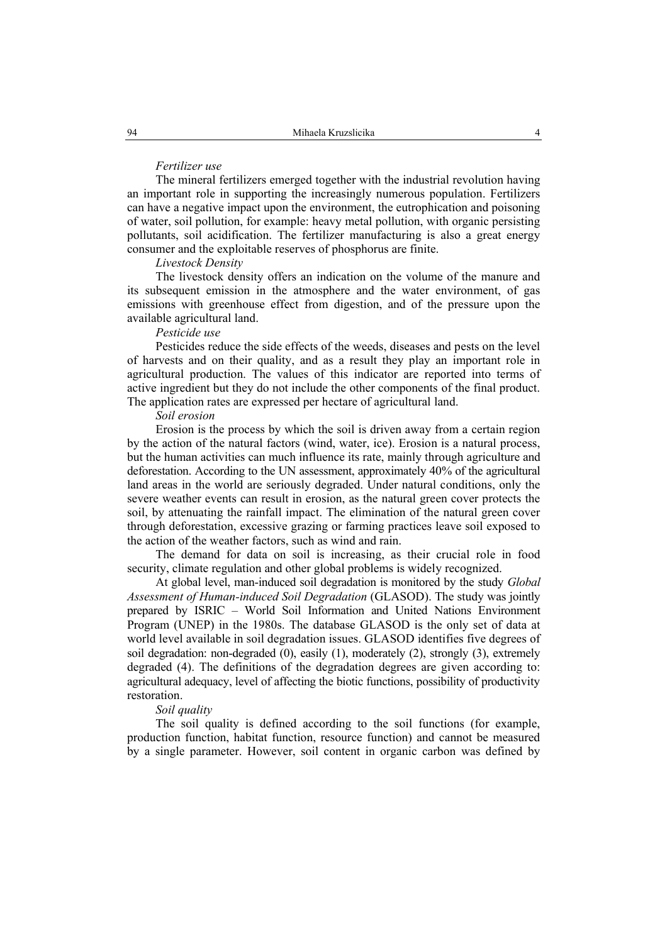#### *Fertilizer use*

The mineral fertilizers emerged together with the industrial revolution having an important role in supporting the increasingly numerous population. Fertilizers can have a negative impact upon the environment, the eutrophication and poisoning of water, soil pollution, for example: heavy metal pollution, with organic persisting pollutants, soil acidification. The fertilizer manufacturing is also a great energy consumer and the exploitable reserves of phosphorus are finite.

### *Livestock Density*

The livestock density offers an indication on the volume of the manure and its subsequent emission in the atmosphere and the water environment, of gas emissions with greenhouse effect from digestion, and of the pressure upon the available agricultural land.

### *Pesticide use*

Pesticides reduce the side effects of the weeds, diseases and pests on the level of harvests and on their quality, and as a result they play an important role in agricultural production. The values of this indicator are reported into terms of active ingredient but they do not include the other components of the final product. The application rates are expressed per hectare of agricultural land.

### *Soil erosion*

Erosion is the process by which the soil is driven away from a certain region by the action of the natural factors (wind, water, ice). Erosion is a natural process, but the human activities can much influence its rate, mainly through agriculture and deforestation. According to the UN assessment, approximately 40% of the agricultural land areas in the world are seriously degraded. Under natural conditions, only the severe weather events can result in erosion, as the natural green cover protects the soil, by attenuating the rainfall impact. The elimination of the natural green cover through deforestation, excessive grazing or farming practices leave soil exposed to the action of the weather factors, such as wind and rain.

The demand for data on soil is increasing, as their crucial role in food security, climate regulation and other global problems is widely recognized.

At global level, man-induced soil degradation is monitored by the study *Global Assessment of Human-induced Soil Degradation* (GLASOD). The study was jointly prepared by ISRIC – World Soil Information and United Nations Environment Program (UNEP) in the 1980s. The database GLASOD is the only set of data at world level available in soil degradation issues. GLASOD identifies five degrees of soil degradation: non-degraded (0), easily (1), moderately (2), strongly (3), extremely degraded (4). The definitions of the degradation degrees are given according to: agricultural adequacy, level of affecting the biotic functions, possibility of productivity restoration.

#### *Soil quality*

The soil quality is defined according to the soil functions (for example, production function, habitat function, resource function) and cannot be measured by a single parameter. However, soil content in organic carbon was defined by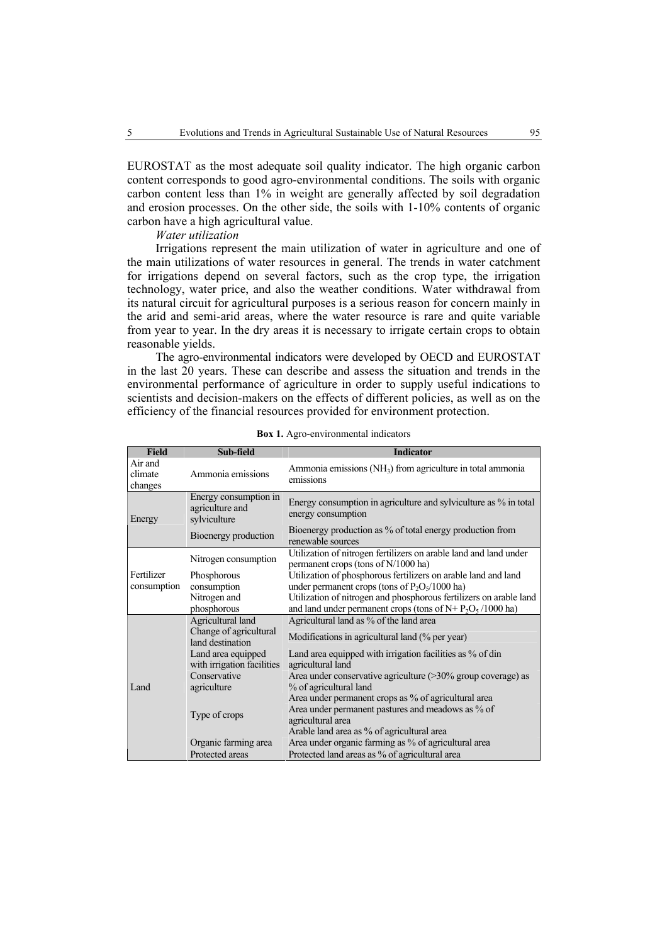EUROSTAT as the most adequate soil quality indicator. The high organic carbon content corresponds to good agro-environmental conditions. The soils with organic carbon content less than 1% in weight are generally affected by soil degradation and erosion processes. On the other side, the soils with 1-10% contents of organic carbon have a high agricultural value.

*Water utilization* 

Irrigations represent the main utilization of water in agriculture and one of the main utilizations of water resources in general. The trends in water catchment for irrigations depend on several factors, such as the crop type, the irrigation technology, water price, and also the weather conditions. Water withdrawal from its natural circuit for agricultural purposes is a serious reason for concern mainly in the arid and semi-arid areas, where the water resource is rare and quite variable from year to year. In the dry areas it is necessary to irrigate certain crops to obtain reasonable yields.

The agro-environmental indicators were developed by OECD and EUROSTAT in the last 20 years. These can describe and assess the situation and trends in the environmental performance of agriculture in order to supply useful indications to scientists and decision-makers on the effects of different policies, as well as on the efficiency of the financial resources provided for environment protection.

| <b>Field</b>                  | Sub-field                                                | <b>Indicator</b>                                                                                         |
|-------------------------------|----------------------------------------------------------|----------------------------------------------------------------------------------------------------------|
| Air and<br>climate<br>changes | Ammonia emissions                                        | Ammonia emissions (NH <sub>3</sub> ) from agriculture in total ammonia<br>emissions                      |
| Energy                        | Energy consumption in<br>agriculture and<br>sylviculture | Energy consumption in agriculture and sylviculture as % in total<br>energy consumption                   |
|                               | Bioenergy production                                     | Bioenergy production as % of total energy production from<br>renewable sources                           |
| Fertilizer<br>consumption     | Nitrogen consumption                                     | Utilization of nitrogen fertilizers on arable land and land under<br>permanent crops (tons of N/1000 ha) |
|                               | Phosphorous                                              | Utilization of phosphorous fertilizers on arable land and land                                           |
|                               | consumption                                              | under permanent crops (tons of $P_2O_5/1000$ ha)                                                         |
|                               | Nitrogen and                                             | Utilization of nitrogen and phosphorous fertilizers on arable land                                       |
|                               | phosphorous                                              | and land under permanent crops (tons of $N + P_2O_5/1000$ ha)                                            |
| Land                          | Agricultural land                                        | Agricultural land as % of the land area                                                                  |
|                               | Change of agricultural<br>land destination               | Modifications in agricultural land (% per year)                                                          |
|                               | Land area equipped<br>with irrigation facilities         | Land area equipped with irrigation facilities as % of din<br>agricultural land                           |
|                               | Conservative<br>agriculture                              | Area under conservative agriculture $(>30\%$ group coverage) as<br>% of agricultural land                |
|                               |                                                          | Area under permanent crops as % of agricultural area                                                     |
|                               | Type of crops                                            | Area under permanent pastures and meadows as % of<br>agricultural area                                   |
|                               |                                                          | Arable land area as % of agricultural area                                                               |
|                               | Organic farming area                                     | Area under organic farming as % of agricultural area                                                     |
|                               | Protected areas                                          | Protected land areas as % of agricultural area                                                           |

**Box 1.** Agro-environmental indicators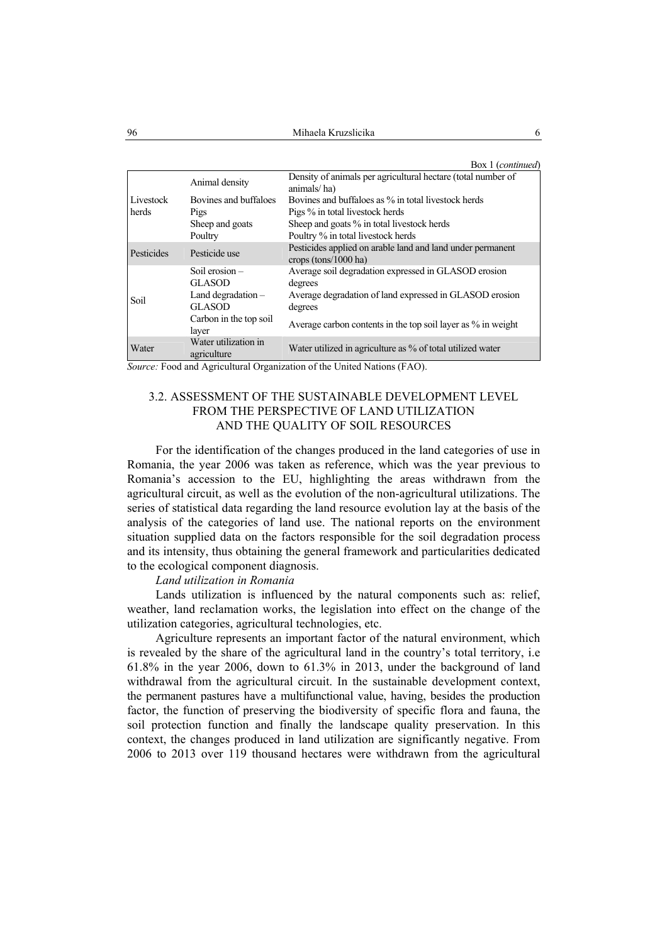Box 1 (*continued*)

|                    |                                       | $DOM$ regiuntation                                                                 |
|--------------------|---------------------------------------|------------------------------------------------------------------------------------|
| Livestock<br>herds | Animal density                        | Density of animals per agricultural hectare (total number of<br>animals/ha)        |
|                    | Bovines and buffaloes                 | Bovines and buffaloes as % in total livestock herds                                |
|                    | Pigs                                  | Pigs % in total livestock herds                                                    |
|                    | Sheep and goats                       | Sheep and goats % in total livestock herds                                         |
|                    | Poultry                               | Poultry % in total livestock herds                                                 |
| Pesticides         | Pesticide use                         | Pesticides applied on arable land and land under permanent<br>crops (tons/1000 ha) |
| Soil               | Soil erosion $-$<br><b>GLASOD</b>     | Average soil degradation expressed in GLASOD erosion<br>degrees                    |
|                    | Land degradation $-$<br><b>GLASOD</b> | Average degradation of land expressed in GLASOD erosion<br>degrees                 |
|                    | Carbon in the top soil<br>layer       | Average carbon contents in the top soil layer as % in weight                       |
| Water              | Water utilization in<br>agriculture   | Water utilized in agriculture as % of total utilized water                         |

*Source:* Food and Agricultural Organization of the United Nations (FAO).

# 3.2. ASSESSMENT OF THE SUSTAINABLE DEVELOPMENT LEVEL FROM THE PERSPECTIVE OF LAND UTILIZATION AND THE QUALITY OF SOIL RESOURCES

For the identification of the changes produced in the land categories of use in Romania, the year 2006 was taken as reference, which was the year previous to Romania's accession to the EU, highlighting the areas withdrawn from the agricultural circuit, as well as the evolution of the non-agricultural utilizations. The series of statistical data regarding the land resource evolution lay at the basis of the analysis of the categories of land use. The national reports on the environment situation supplied data on the factors responsible for the soil degradation process and its intensity, thus obtaining the general framework and particularities dedicated to the ecological component diagnosis.

### *Land utilization in Romania*

Lands utilization is influenced by the natural components such as: relief, weather, land reclamation works, the legislation into effect on the change of the utilization categories, agricultural technologies, etc.

Agriculture represents an important factor of the natural environment, which is revealed by the share of the agricultural land in the country's total territory, i.e 61.8% in the year 2006, down to 61.3% in 2013, under the background of land withdrawal from the agricultural circuit. In the sustainable development context, the permanent pastures have a multifunctional value, having, besides the production factor, the function of preserving the biodiversity of specific flora and fauna, the soil protection function and finally the landscape quality preservation. In this context, the changes produced in land utilization are significantly negative. From 2006 to 2013 over 119 thousand hectares were withdrawn from the agricultural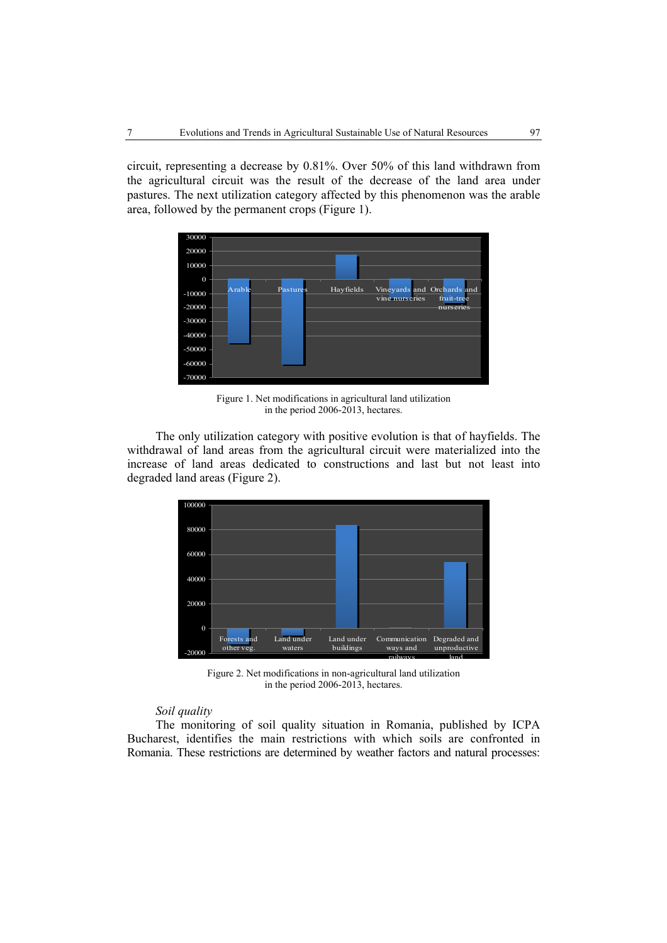circuit, representing a decrease by 0.81%. Over 50% of this land withdrawn from the agricultural circuit was the result of the decrease of the land area under pastures. The next utilization category affected by this phenomenon was the arable area, followed by the permanent crops (Figure 1).



Figure 1. Net modifications in agricultural land utilization in the period 2006-2013, hectares.

The only utilization category with positive evolution is that of hayfields. The withdrawal of land areas from the agricultural circuit were materialized into the increase of land areas dedicated to constructions and last but not least into degraded land areas (Figure 2).



Figure 2. Net modifications in non-agricultural land utilization in the period 2006-2013, hectares.

# *Soil quality*

The monitoring of soil quality situation in Romania, published by ICPA Bucharest, identifies the main restrictions with which soils are confronted in Romania. These restrictions are determined by weather factors and natural processes: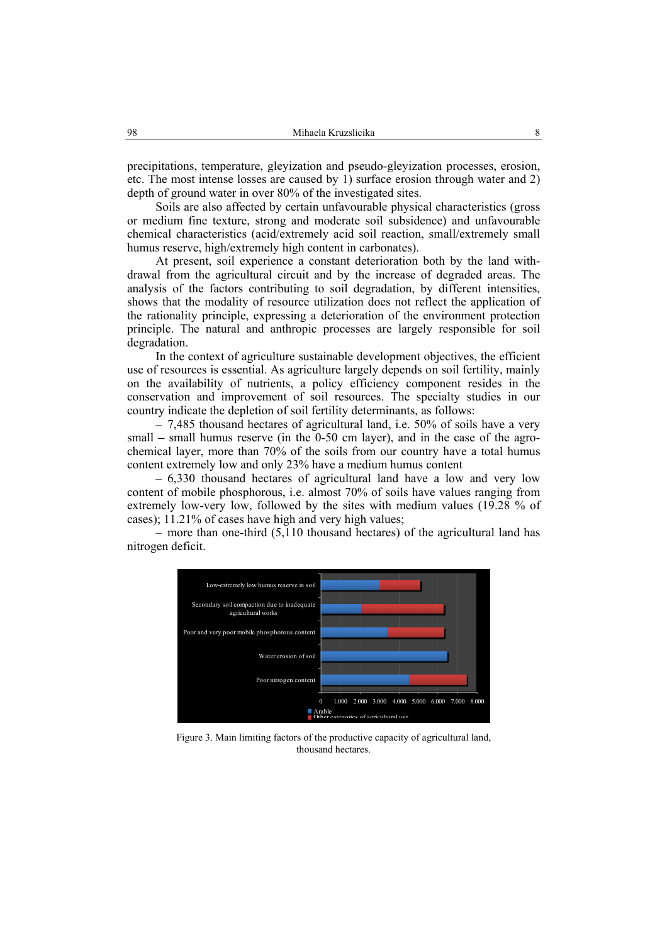precipitations, temperature, gleyization and pseudo-gleyization processes, erosion, etc. The most intense losses are caused by 1) surface erosion through water and 2) depth of ground water in over 80% of the investigated sites.

Soils are also affected by certain unfavourable physical characteristics (gross or medium fine texture, strong and moderate soil subsidence) and unfavourable chemical characteristics (acid/extremely acid soil reaction, small/extremely small humus reserve, high/extremely high content in carbonates).

At present, soil experience a constant deterioration both by the land withdrawal from the agricultural circuit and by the increase of degraded areas. The analysis of the factors contributing to soil degradation, by different intensities, shows that the modality of resource utilization does not reflect the application of the rationality principle, expressing a deterioration of the environment protection principle. The natural and anthropic processes are largely responsible for soil degradation.

In the context of agriculture sustainable development objectives, the efficient use of resources is essential. As agriculture largely depends on soil fertility, mainly on the availability of nutrients, a policy efficiency component resides in the conservation and improvement of soil resources. The specialty studies in our country indicate the depletion of soil fertility determinants, as follows:

– 7,485 thousand hectares of agricultural land, i.e. 50% of soils have a very small **–** small humus reserve (in the 0-50 cm layer), and in the case of the agrochemical layer, more than 70% of the soils from our country have a total humus content extremely low and only 23% have a medium humus content

– 6,330 thousand hectares of agricultural land have a low and very low content of mobile phosphorous, i.e. almost 70% of soils have values ranging from extremely low-very low, followed by the sites with medium values (19.28 % of cases); 11.21% of cases have high and very high values;

– more than one-third (5,110 thousand hectares) of the agricultural land has nitrogen deficit.



Figure 3. Main limiting factors of the productive capacity of agricultural land, thousand hectares.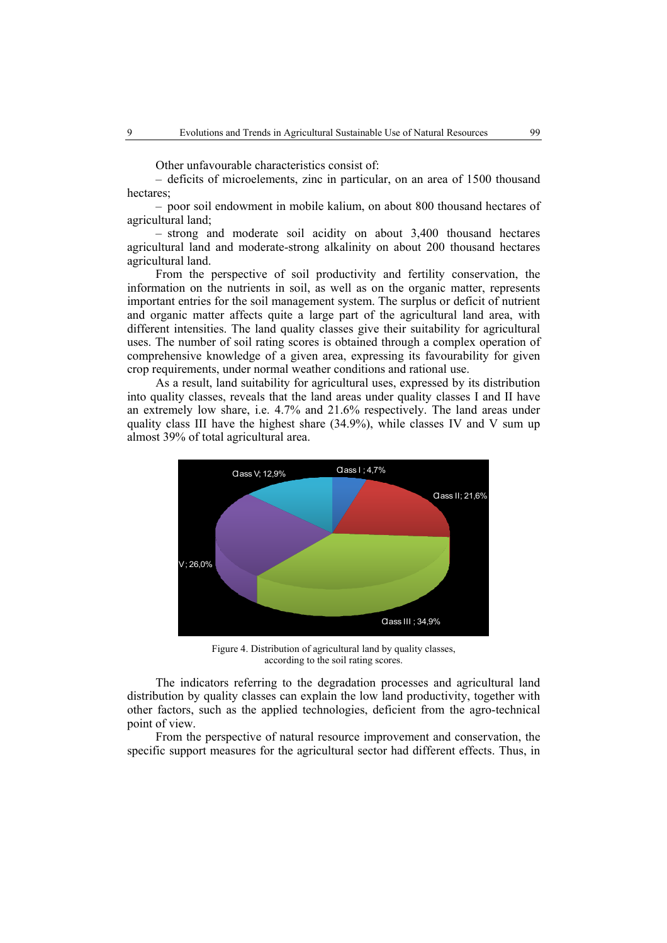Other unfavourable characteristics consist of:

– deficits of microelements, zinc in particular, on an area of 1500 thousand hectares<sup>.</sup>

– poor soil endowment in mobile kalium, on about 800 thousand hectares of agricultural land;

– strong and moderate soil acidity on about 3,400 thousand hectares agricultural land and moderate-strong alkalinity on about 200 thousand hectares agricultural land.

From the perspective of soil productivity and fertility conservation, the information on the nutrients in soil, as well as on the organic matter, represents important entries for the soil management system. The surplus or deficit of nutrient and organic matter affects quite a large part of the agricultural land area, with different intensities. The land quality classes give their suitability for agricultural uses. The number of soil rating scores is obtained through a complex operation of comprehensive knowledge of a given area, expressing its favourability for given crop requirements, under normal weather conditions and rational use.

As a result, land suitability for agricultural uses, expressed by its distribution into quality classes, reveals that the land areas under quality classes I and II have an extremely low share, i.e. 4.7% and 21.6% respectively. The land areas under quality class III have the highest share  $(34.9\%)$ , while classes IV and V sum up almost 39% of total agricultural area.



Figure 4. Distribution of agricultural land by quality classes, according to the soil rating scores.

The indicators referring to the degradation processes and agricultural land distribution by quality classes can explain the low land productivity, together with other factors, such as the applied technologies, deficient from the agro-technical point of view.

From the perspective of natural resource improvement and conservation, the specific support measures for the agricultural sector had different effects. Thus, in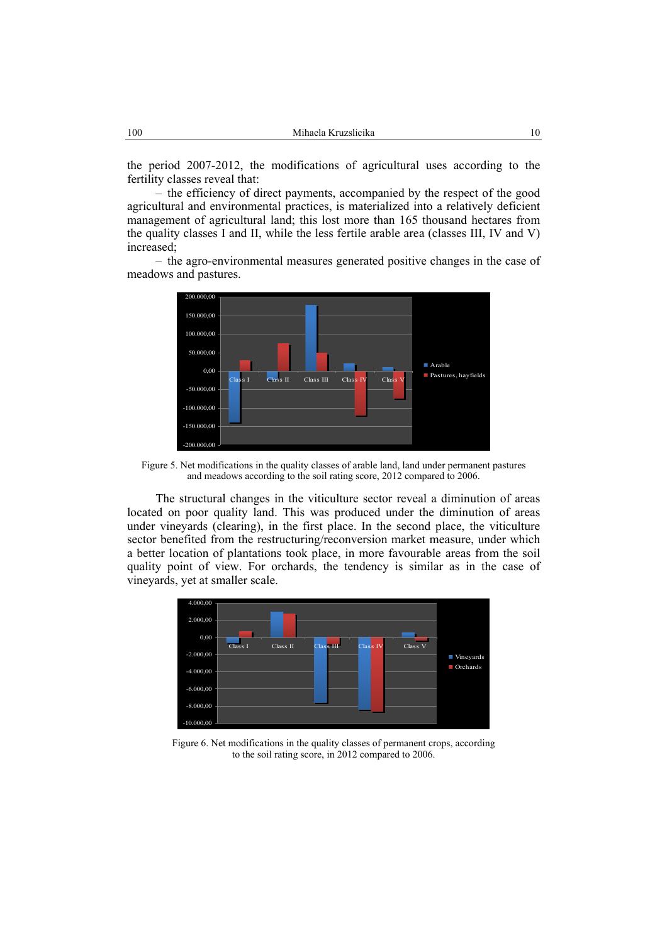the period 2007-2012, the modifications of agricultural uses according to the fertility classes reveal that:

– the efficiency of direct payments, accompanied by the respect of the good agricultural and environmental practices, is materialized into a relatively deficient management of agricultural land; this lost more than 165 thousand hectares from the quality classes I and II, while the less fertile arable area (classes III, IV and V) increased;

– the agro-environmental measures generated positive changes in the case of meadows and pastures.



Figure 5. Net modifications in the quality classes of arable land, land under permanent pastures and meadows according to the soil rating score, 2012 compared to 2006.

The structural changes in the viticulture sector reveal a diminution of areas located on poor quality land. This was produced under the diminution of areas under vineyards (clearing), in the first place. In the second place, the viticulture sector benefited from the restructuring/reconversion market measure, under which a better location of plantations took place, in more favourable areas from the soil quality point of view. For orchards, the tendency is similar as in the case of vineyards, yet at smaller scale.



Figure 6. Net modifications in the quality classes of permanent crops, according to the soil rating score, in 2012 compared to 2006.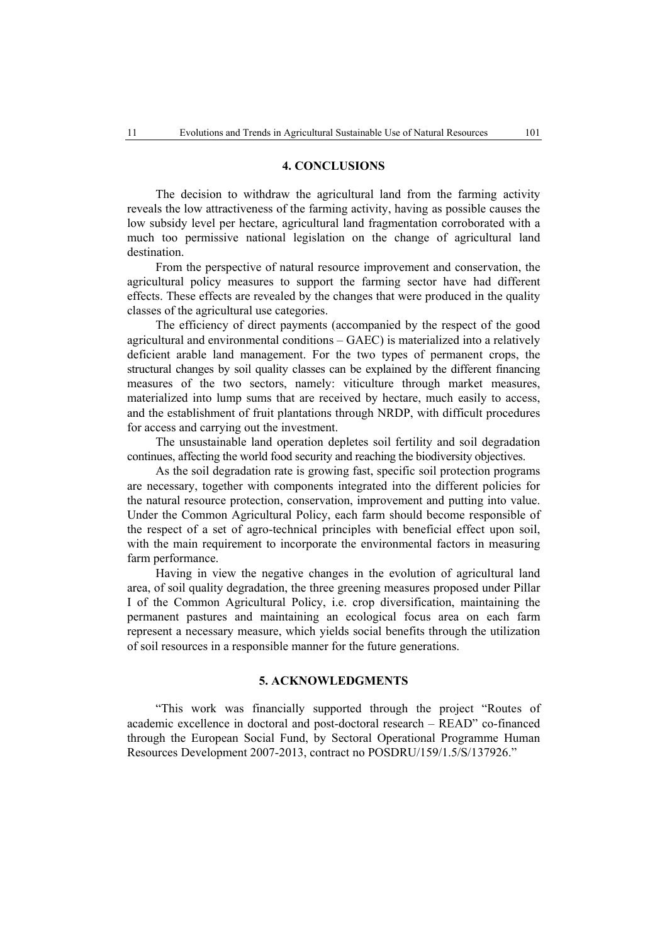### **4. CONCLUSIONS**

The decision to withdraw the agricultural land from the farming activity reveals the low attractiveness of the farming activity, having as possible causes the low subsidy level per hectare, agricultural land fragmentation corroborated with a much too permissive national legislation on the change of agricultural land destination.

From the perspective of natural resource improvement and conservation, the agricultural policy measures to support the farming sector have had different effects. These effects are revealed by the changes that were produced in the quality classes of the agricultural use categories.

The efficiency of direct payments (accompanied by the respect of the good agricultural and environmental conditions – GAEC) is materialized into a relatively deficient arable land management. For the two types of permanent crops, the structural changes by soil quality classes can be explained by the different financing measures of the two sectors, namely: viticulture through market measures, materialized into lump sums that are received by hectare, much easily to access, and the establishment of fruit plantations through NRDP, with difficult procedures for access and carrying out the investment.

The unsustainable land operation depletes soil fertility and soil degradation continues, affecting the world food security and reaching the biodiversity objectives.

As the soil degradation rate is growing fast, specific soil protection programs are necessary, together with components integrated into the different policies for the natural resource protection, conservation, improvement and putting into value. Under the Common Agricultural Policy, each farm should become responsible of the respect of a set of agro-technical principles with beneficial effect upon soil, with the main requirement to incorporate the environmental factors in measuring farm performance.

Having in view the negative changes in the evolution of agricultural land area, of soil quality degradation, the three greening measures proposed under Pillar I of the Common Agricultural Policy, i.e. crop diversification, maintaining the permanent pastures and maintaining an ecological focus area on each farm represent a necessary measure, which yields social benefits through the utilization of soil resources in a responsible manner for the future generations.

## **5. ACKNOWLEDGMENTS**

"This work was financially supported through the project "Routes of academic excellence in doctoral and post-doctoral research – READ" co-financed through the European Social Fund, by Sectoral Operational Programme Human Resources Development 2007-2013, contract no POSDRU/159/1.5/S/137926."